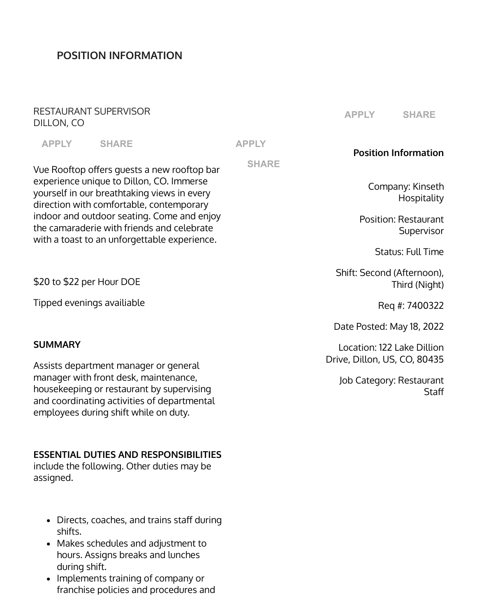## **[POSITION INFORMATION](#page-0-0)**

<span id="page-0-0"></span>RESTAURANT SUPERVISOR DILLON, CO

**APPLY SHARE** Vue Rooftop offers guests a new rooftop bar experience unique to Dillon, CO. Immerse yourself in our breathtaking views in every direction with comfortable, contemporary indoor and outdoor seating. Come and enjoy the camaraderie with friends and celebrate with a toast to an unforgettable experience. \$20 to \$22 per Hour DOE Tipped evenings availiable **APPLY SHARE Position Information**

#### **SUMMARY**

Assists department manager or general manager with front desk, maintenance, housekeeping or restaurant by supervising and coordinating activities of departmental employees during shift while on duty.

#### **ESSENTIAL DUTIES AND RESPONSIBILITIES**

include the following. Other duties may be assigned.

- Directs, coaches, and trains staff during shifts.
- Makes schedules and adjustment to hours. Assigns breaks and lunches during shift.
- Implements training of company or franchise policies and procedures and

**APPLY SHARE**

Company: Kinseth Hospitality

Position: Restaurant Supervisor

Status: Full Time

Shift: Second (Afternoon), Third (Night)

Req #: 7400322

Date Posted: May 18, 2022

Location: 122 Lake Dillion Drive, Dillon, US, CO, 80435

> Job Category: Restaurant **Staff**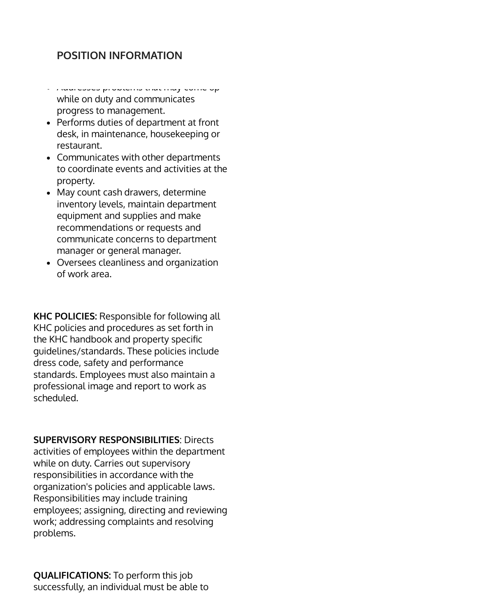# representative to answer questions or **[POSITION INFORMATION](#page-0-0)**

- Addresses problems that may come up while on duty and communicates progress to management.
- Performs duties of department at front desk, in maintenance, housekeeping or restaurant.
- Communicates with other departments to coordinate events and activities at the property.
- May count cash drawers, determine inventory levels, maintain department equipment and supplies and make recommendations or requests and communicate concerns to department manager or general manager.
- Oversees cleanliness and organization of work area.

**KHC POLICIES:** Responsible for following all KHC policies and procedures as set forth in the KHC handbook and property specific guidelines/standards. These policies include dress code, safety and performance standards. Employees must also maintain a professional image and report to work as scheduled.

**SUPERVISORY RESPONSIBILITIES**: Directs

activities of employees within the department while on duty. Carries out supervisory responsibilities in accordance with the organization's policies and applicable laws. Responsibilities may include training employees; assigning, directing and reviewing work; addressing complaints and resolving problems.

**QUALIFICATIONS:** To perform this job successfully, an individual must be able to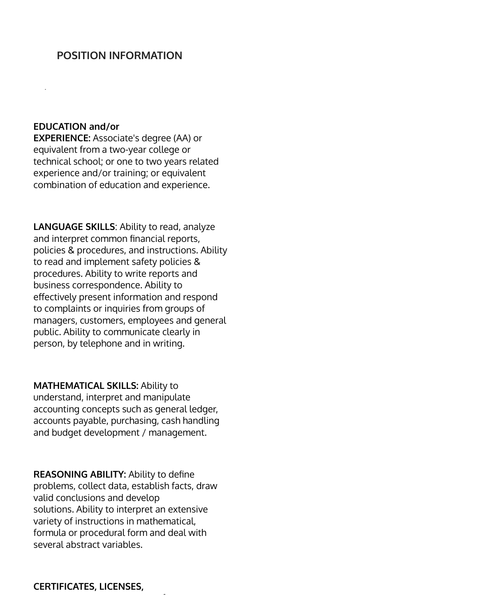### DOCITION INFORMATION **[POSITION INFORMATION](#page-0-0)**

#### **EDUCATION and/or**

**EXPERIENCE:** Associate's degree (AA) or equivalent from a two-year college or technical school; or one to two years related experience and/or training; or equivalent combination of education and experience.

**LANGUAGE SKILLS**: Ability to read, analyze and interpret common financial reports, policies & procedures, and instructions. Ability to read and implement safety policies & procedures. Ability to write reports and business correspondence. Ability to effectively present information and respond to complaints or inquiries from groups of managers, customers, employees and general public. Ability to communicate clearly in person, by telephone and in writing.

**MATHEMATICAL SKILLS:** Ability to understand, interpret and manipulate accounting concepts such as general ledger, accounts payable, purchasing, cash handling and budget development / management.

**REASONING ABILITY:** Ability to define problems, collect data, establish facts, draw valid conclusions and develop solutions. Ability to interpret an extensive variety of instructions in mathematical, formula or procedural form and deal with several abstract variables.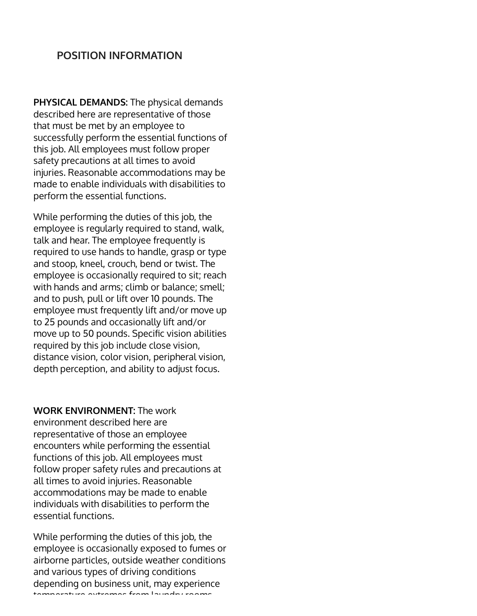### other certificates or licenses depending on **[POSITION INFORMATION](#page-0-0)**

**PHYSICAL DEMANDS:** The physical demands described here are representative of those that must be met by an employee to successfully perform the essential functions of this job. All employees must follow proper safety precautions at all times to avoid injuries. Reasonable accommodations may be made to enable individuals with disabilities to perform the essential functions.

While performing the duties of this job, the employee is regularly required to stand, walk, talk and hear. The employee frequently is required to use hands to handle, grasp or type and stoop, kneel, crouch, bend or twist. The employee is occasionally required to sit; reach with hands and arms; climb or balance; smell; and to push, pull or lift over 10 pounds. The employee must frequently lift and/or move up to 25 pounds and occasionally lift and/or move up to 50 pounds. Specific vision abilities required by this job include close vision, distance vision, color vision, peripheral vision, depth perception, and ability to adjust focus.

**WORK ENVIRONMENT:** The work environment described here are representative of those an employee encounters while performing the essential functions of this job. All employees must follow proper safety rules and precautions at all times to avoid injuries. Reasonable accommodations may be made to enable individuals with disabilities to perform the essential functions.

While performing the duties of this job, the employee is occasionally exposed to fumes or airborne particles, outside weather conditions and various types of driving conditions depending on business unit, may experience temperature extremes from laundry rooms